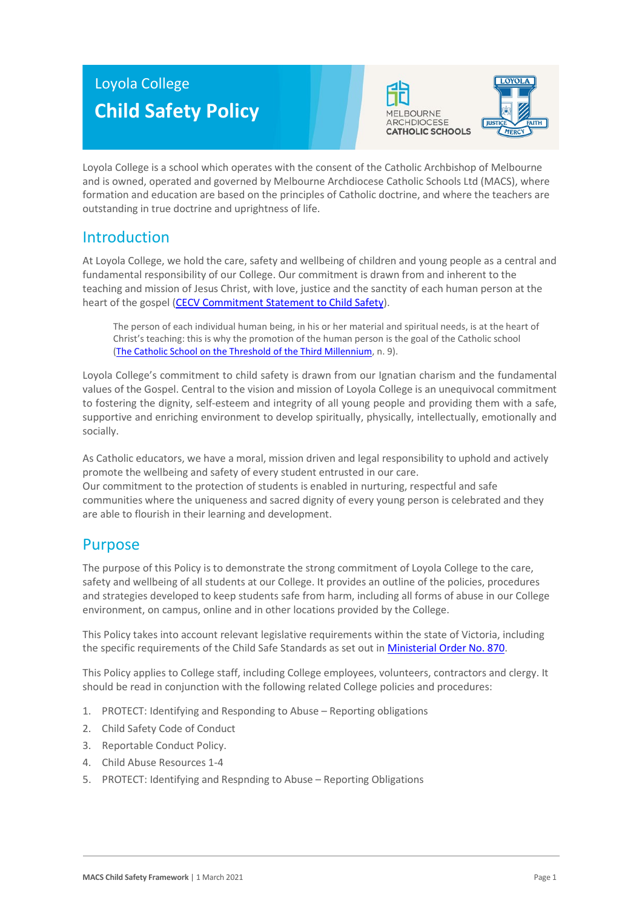# Loyola College **Child Safety Policy**





Loyola College is a school which operates with the consent of the Catholic Archbishop of Melbourne and is owned, operated and governed by Melbourne Archdiocese Catholic Schools Ltd (MACS), where formation and education are based on the principles of Catholic doctrine, and where the teachers are outstanding in true doctrine and uprightness of life.

# Introduction

At Loyola College, we hold the care, safety and wellbeing of children and young people as a central and fundamental responsibility of our College. Our commitment is drawn from and inherent to the teaching and mission of Jesus Christ, with love, justice and the sanctity of each human person at the heart of the gospel [\(CECV Commitment Statement to Child Safety\)](https://www.cecv.catholic.edu.au/getmedia/b5d43278-51b9-4704-b45a-f14e50546a70/Commitment-Statement-A4.aspx).

The person of each individual human being, in his or her material and spiritual needs, is at the heart of Christ's teaching: this is why the promotion of the human person is the goal of the Catholic school [\(The Catholic School on the Threshold of the Third Millennium,](http://www.vatican.va/roman_curia/congregations/ccatheduc/documents/rc_con_ccatheduc_doc_27041998_school2000_en.html) n. 9).

Loyola College's commitment to child safety is drawn from our Ignatian charism and the fundamental values of the Gospel. Central to the vision and mission of Loyola College is an unequivocal commitment to fostering the dignity, self-esteem and integrity of all young people and providing them with a safe, supportive and enriching environment to develop spiritually, physically, intellectually, emotionally and socially.

As Catholic educators, we have a moral, mission driven and legal responsibility to uphold and actively promote the wellbeing and safety of every student entrusted in our care. Our commitment to the protection of students is enabled in nurturing, respectful and safe communities where the uniqueness and sacred dignity of every young person is celebrated and they are able to flourish in their learning and development.

### Purpose

The purpose of this Policy is to demonstrate the strong commitment of Loyola College to the care, safety and wellbeing of all students at our College. It provides an outline of the policies, procedures and strategies developed to keep students safe from harm, including all forms of abuse in our College environment, on campus, online and in other locations provided by the College.

This Policy takes into account relevant legislative requirements within the state of Victoria, including the specific requirements of the Child Safe Standards as set out in [Ministerial Order No. 870.](http://www.gazette.vic.gov.au/gazette/Gazettes2016/GG2016S002.pdf)

This Policy applies to College staff, including College employees, volunteers, contractors and clergy. It should be read in conjunction with the following related College policies and procedures:

- 1. PROTECT: Identifying and Responding to Abuse Reporting obligations
- 2. Child Safety Code of Conduct
- 3. Reportable Conduct Policy.
- 4. Child Abuse Resources 1-4
- 5. PROTECT: Identifying and Respnding to Abuse Reporting Obligations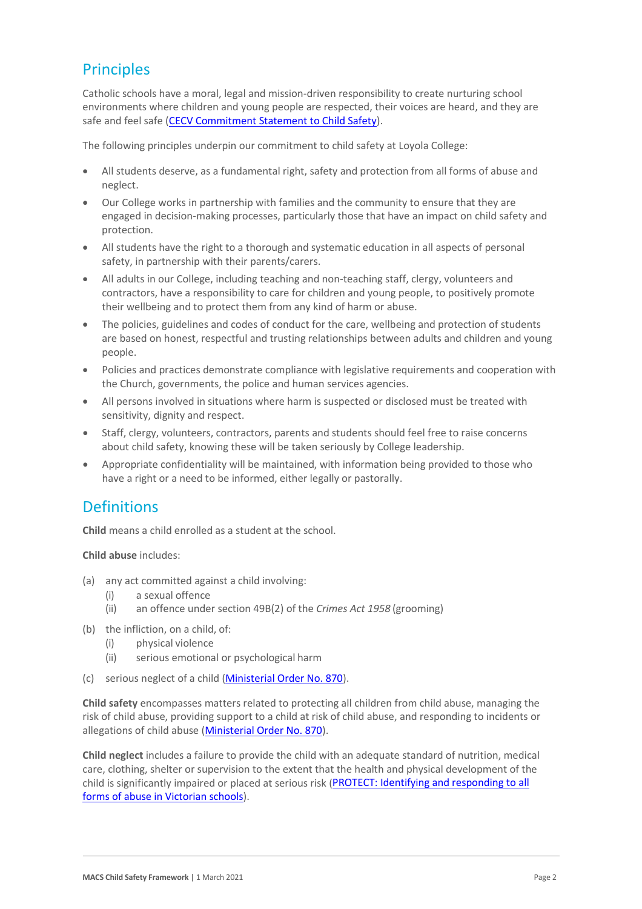# **Principles**

Catholic schools have a moral, legal and mission-driven responsibility to create nurturing school environments where children and young people are respected, their voices are heard, and they are safe and feel safe [\(CECV Commitment Statement to Child Safety\)](https://www.cecv.catholic.edu.au/getmedia/b5d43278-51b9-4704-b45a-f14e50546a70/Commitment-Statement-A4.aspx).

The following principles underpin our commitment to child safety at Loyola College:

- All students deserve, as a fundamental right, safety and protection from all forms of abuse and neglect.
- Our College works in partnership with families and the community to ensure that they are engaged in decision-making processes, particularly those that have an impact on child safety and protection.
- All students have the right to a thorough and systematic education in all aspects of personal safety, in partnership with their parents/carers.
- All adults in our College, including teaching and non-teaching staff, clergy, volunteers and contractors, have a responsibility to care for children and young people, to positively promote their wellbeing and to protect them from any kind of harm or abuse.
- The policies, guidelines and codes of conduct for the care, wellbeing and protection of students are based on honest, respectful and trusting relationships between adults and children and young people.
- Policies and practices demonstrate compliance with legislative requirements and cooperation with the Church, governments, the police and human services agencies.
- All persons involved in situations where harm is suspected or disclosed must be treated with sensitivity, dignity and respect.
- Staff, clergy, volunteers, contractors, parents and students should feel free to raise concerns about child safety, knowing these will be taken seriously by College leadership.
- Appropriate confidentiality will be maintained, with information being provided to those who have a right or a need to be informed, either legally or pastorally.

### **Definitions**

**Child** means a child enrolled as a student at the school.

**Child abuse** includes:

- (a) any act committed against a child involving:
	- (i) a sexual offence
	- (ii) an offence under section 49B(2) of the *Crimes Act 1958* (grooming)
- (b) the infliction, on a child, of:
	- (i) physical violence
	- (ii) serious emotional or psychological harm
- (c) serious neglect of a child [\(Ministerial Order No. 870\)](http://www.gazette.vic.gov.au/gazette/Gazettes2016/GG2016S002.pdf).

**Child safety** encompasses matters related to protecting all children from child abuse, managing the risk of child abuse, providing support to a child at risk of child abuse, and responding to incidents or allegations of child abuse [\(Ministerial Order No. 870\)](http://www.gazette.vic.gov.au/gazette/Gazettes2016/GG2016S002.pdf).

**Child neglect** includes a failure to provide the child with an adequate standard of nutrition, medical care, clothing, shelter or supervision to the extent that the health and physical development of the child is significantly impaired or placed at serious risk (PROTECT: Identifying and responding to all [forms of abuse in Victorian schools\)](http://www.cecv.catholic.edu.au/getmedia/ebe135a4-d1b3-48a0-81fe-50d4fc451bcd/Identifying-and-Responding-to-All-Forms-of-Abuse.aspx#page%3D27).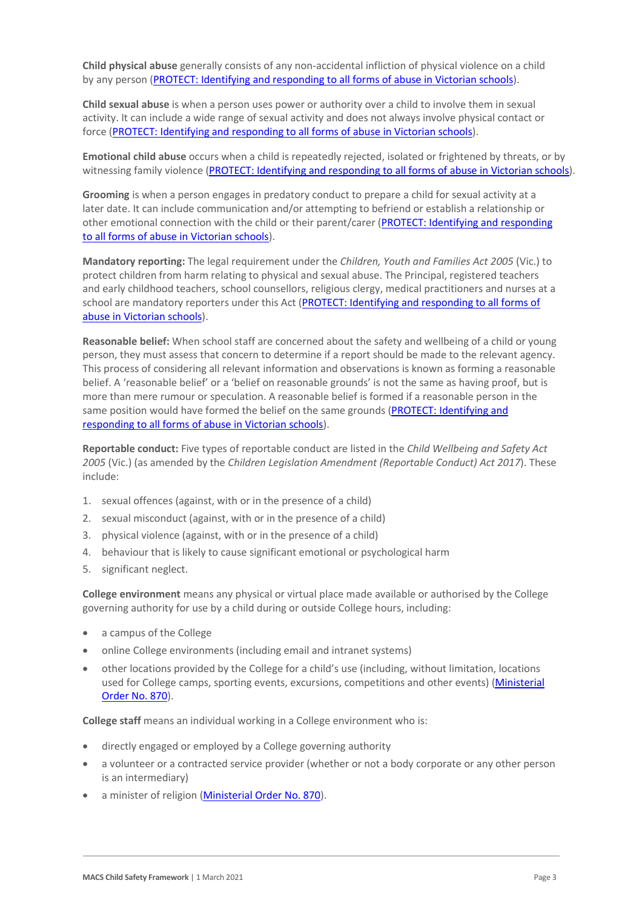**Child physical abuse** generally consists of any non-accidental infliction of physical violence on a child by any person [\(PROTECT: Identifying and responding to all forms of abuse in Victorian schools\)](https://www.cecv.catholic.edu.au/getmedia/ebe135a4-d1b3-48a0-81fe-50d4fc451bcd/Identifying-and-Responding-to-All-Forms-of-Abuse.aspx#page%3D15).

**Child sexual abuse** is when a person uses power or authority over a child to involve them in sexual activity. It can include a wide range of sexual activity and does not always involve physical contact or force [\(PROTECT: Identifying and responding to all forms of abuse in Victorian schools\)](https://www.cecv.catholic.edu.au/getmedia/ebe135a4-d1b3-48a0-81fe-50d4fc451bcd/Identifying-and-Responding-to-All-Forms-of-Abuse.aspx#page%3D17).

**Emotional child abuse** occurs when a child is repeatedly rejected, isolated or frightened by threats, or by witnessing family violence [\(PROTECT: Identifying and responding to all forms of abuse in Victorian schools\)](https://www.cecv.catholic.edu.au/getmedia/ebe135a4-d1b3-48a0-81fe-50d4fc451bcd/Identifying-and-Responding-to-All-Forms-of-Abuse.aspx#page%3D26).

**Grooming** is when a person engages in predatory conduct to prepare a child for sexual activity at a later date. It can include communication and/or attempting to befriend or establish a relationship or other emotional connection with the child or their parent/carer [\(PROTECT: Identifying and responding](https://www.cecv.catholic.edu.au/getmedia/ebe135a4-d1b3-48a0-81fe-50d4fc451bcd/Identifying-and-Responding-to-All-Forms-of-Abuse.aspx#page%3D20)  [to all forms of abuse in Victorian schools\)](https://www.cecv.catholic.edu.au/getmedia/ebe135a4-d1b3-48a0-81fe-50d4fc451bcd/Identifying-and-Responding-to-All-Forms-of-Abuse.aspx#page%3D20).

**Mandatory reporting:** The legal requirement under the *Children, Youth and Families Act 2005* (Vic.) to protect children from harm relating to physical and sexual abuse. The Principal, registered teachers and early childhood teachers, school counsellors, religious clergy, medical practitioners and nurses at a school are mandatory reporters under this Act [\(PROTECT: Identifying and responding to all forms of](http://www.cecv.catholic.edu.au/getmedia/ebe135a4-d1b3-48a0-81fe-50d4fc451bcd/Identifying-and-Responding-to-All-Forms-of-Abuse.aspx#page%3D8)  [abuse in Victorian schools\)](http://www.cecv.catholic.edu.au/getmedia/ebe135a4-d1b3-48a0-81fe-50d4fc451bcd/Identifying-and-Responding-to-All-Forms-of-Abuse.aspx#page%3D8).

**Reasonable belief:** When school staff are concerned about the safety and wellbeing of a child or young person, they must assess that concern to determine if a report should be made to the relevant agency. This process of considering all relevant information and observations is known as forming a reasonable belief. A 'reasonable belief' or a 'belief on reasonable grounds' is not the same as having proof, but is more than mere rumour or speculation. A reasonable belief is formed if a reasonable person in the same position would have formed the belief on the same grounds (PROTECT: Identifying and [responding to all forms of abuse in Victorian schools\)](http://www.cecv.catholic.edu.au/getmedia/ebe135a4-d1b3-48a0-81fe-50d4fc451bcd/Identifying-and-Responding-to-All-Forms-of-Abuse.aspx#page%3D35).

**Reportable conduct:** Five types of reportable conduct are listed in the *Child Wellbeing and Safety Act 2005* (Vic.) (as amended by the *Children Legislation Amendment (Reportable Conduct) Act 2017*). These include:

- 1. sexual offences (against, with or in the presence of a child)
- 2. sexual misconduct (against, with or in the presence of a child)
- 3. physical violence (against, with or in the presence of a child)
- 4. behaviour that is likely to cause significant emotional or psychological harm
- 5. significant neglect.

**College environment** means any physical or virtual place made available or authorised by the College governing authority for use by a child during or outside College hours, including:

- a campus of the College
- online College environments (including email and intranet systems)
- other locations provided by the College for a child's use (including, without limitation, locations used for College camps, sporting events, excursions, competitions and other events) (Ministerial [Order No. 870\)](http://www.gazette.vic.gov.au/gazette/Gazettes2016/GG2016S002.pdf).

**College staff** means an individual working in a College environment who is:

- directly engaged or employed by a College governing authority
- a volunteer or a contracted service provider (whether or not a body corporate or any other person is an intermediary)
- a minister of religion [\(Ministerial Order No. 870\)](http://www.gazette.vic.gov.au/gazette/Gazettes2016/GG2016S002.pdf).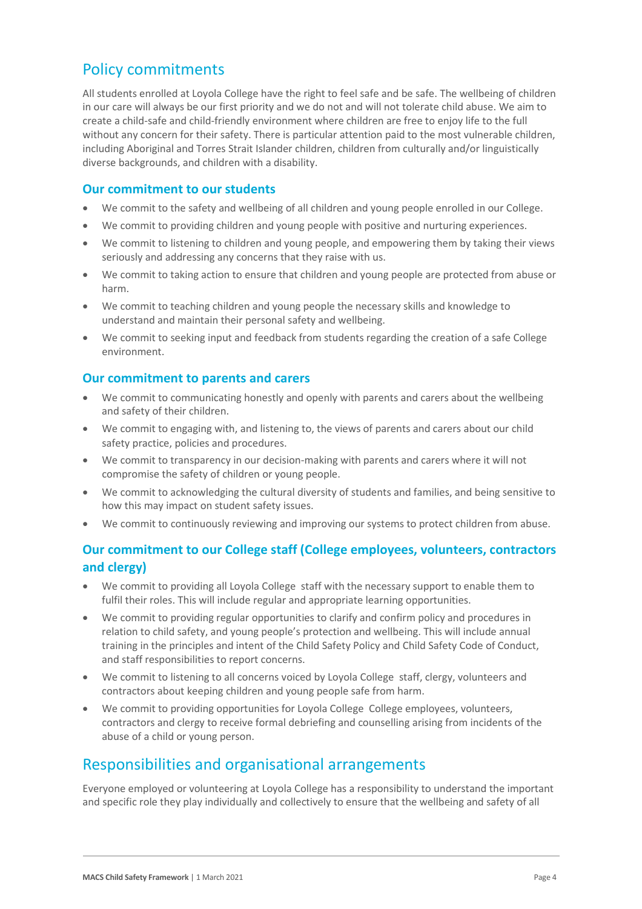## Policy commitments

All students enrolled at Loyola College have the right to feel safe and be safe. The wellbeing of children in our care will always be our first priority and we do not and will not tolerate child abuse. We aim to create a child-safe and child-friendly environment where children are free to enjoy life to the full without any concern for their safety. There is particular attention paid to the most vulnerable children, including Aboriginal and Torres Strait Islander children, children from culturally and/or linguistically diverse backgrounds, and children with a disability.

#### **Our commitment to our students**

- We commit to the safety and wellbeing of all children and young people enrolled in our College.
- We commit to providing children and young people with positive and nurturing experiences.
- We commit to listening to children and young people, and empowering them by taking their views seriously and addressing any concerns that they raise with us.
- We commit to taking action to ensure that children and young people are protected from abuse or harm.
- We commit to teaching children and young people the necessary skills and knowledge to understand and maintain their personal safety and wellbeing.
- We commit to seeking input and feedback from students regarding the creation of a safe College environment.

### **Our commitment to parents and carers**

- We commit to communicating honestly and openly with parents and carers about the wellbeing and safety of their children.
- We commit to engaging with, and listening to, the views of parents and carers about our child safety practice, policies and procedures.
- We commit to transparency in our decision-making with parents and carers where it will not compromise the safety of children or young people.
- We commit to acknowledging the cultural diversity of students and families, and being sensitive to how this may impact on student safety issues.
- We commit to continuously reviewing and improving our systems to protect children from abuse.

### **Our commitment to our College staff (College employees, volunteers, contractors and clergy)**

- We commit to providing all Loyola College staff with the necessary support to enable them to fulfil their roles. This will include regular and appropriate learning opportunities.
- We commit to providing regular opportunities to clarify and confirm policy and procedures in relation to child safety, and young people's protection and wellbeing. This will include annual training in the principles and intent of the Child Safety Policy and Child Safety Code of Conduct, and staff responsibilities to report concerns.
- We commit to listening to all concerns voiced by Loyola College staff, clergy, volunteers and contractors about keeping children and young people safe from harm.
- We commit to providing opportunities for Loyola College College employees, volunteers, contractors and clergy to receive formal debriefing and counselling arising from incidents of the abuse of a child or young person.

# Responsibilities and organisational arrangements

Everyone employed or volunteering at Loyola College has a responsibility to understand the important and specific role they play individually and collectively to ensure that the wellbeing and safety of all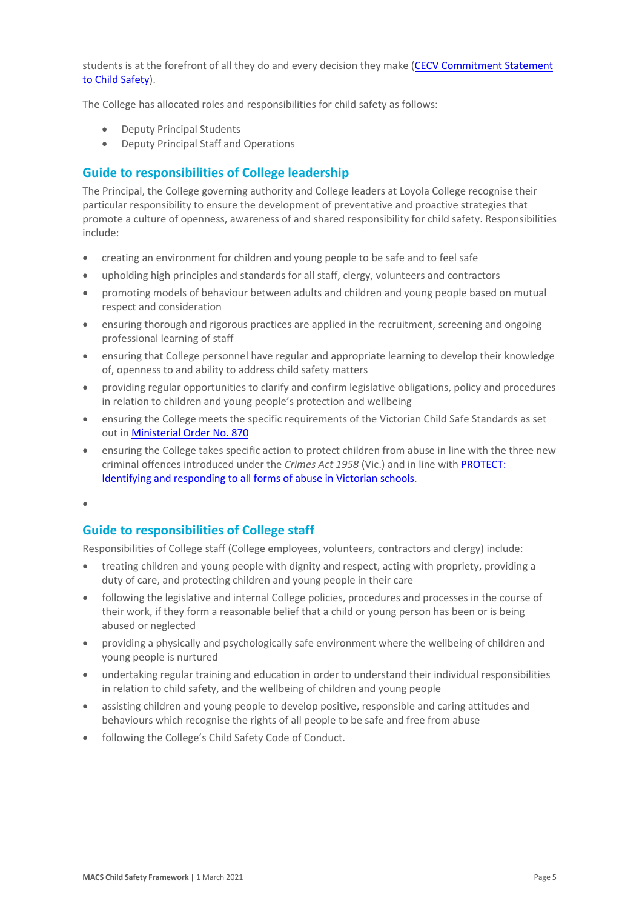students is at the forefront of all they do and every decision they make (CECV Commitment Statement [to Child Safety\)](https://www.cecv.catholic.edu.au/getmedia/b5d43278-51b9-4704-b45a-f14e50546a70/Commitment-Statement-A4.aspx).

The College has allocated roles and responsibilities for child safety as follows:

- Deputy Principal Students
- Deputy Principal Staff and Operations

#### **Guide to responsibilities of College leadership**

The Principal, the College governing authority and College leaders at Loyola College recognise their particular responsibility to ensure the development of preventative and proactive strategies that promote a culture of openness, awareness of and shared responsibility for child safety. Responsibilities include:

- creating an environment for children and young people to be safe and to feel safe
- upholding high principles and standards for all staff, clergy, volunteers and contractors
- promoting models of behaviour between adults and children and young people based on mutual respect and consideration
- ensuring thorough and rigorous practices are applied in the recruitment, screening and ongoing professional learning of staff
- ensuring that College personnel have regular and appropriate learning to develop their knowledge of, openness to and ability to address child safety matters
- providing regular opportunities to clarify and confirm legislative obligations, policy and procedures in relation to children and young people's protection and wellbeing
- ensuring the College meets the specific requirements of the Victorian Child Safe Standards as set out i[n Ministerial Order No. 870](http://www.gazette.vic.gov.au/gazette/Gazettes2016/GG2016S002.pdf)
- ensuring the College takes specific action to protect children from abuse in line with the three new criminal offences introduced under the *Crimes Act 1958* (Vic.) and in line with [PROTECT:](http://www.cecv.catholic.edu.au/getmedia/ebe135a4-d1b3-48a0-81fe-50d4fc451bcd/Identifying-and-Responding-to-All-Forms-of-Abuse.aspx)  Identifying and responding to [all forms of abuse in Victorian schools.](http://www.cecv.catholic.edu.au/getmedia/ebe135a4-d1b3-48a0-81fe-50d4fc451bcd/Identifying-and-Responding-to-All-Forms-of-Abuse.aspx)

•

#### **Guide to responsibilities of College staff**

Responsibilities of College staff (College employees, volunteers, contractors and clergy) include:

- treating children and young people with dignity and respect, acting with propriety, providing a duty of care, and protecting children and young people in their care
- following the legislative and internal College policies, procedures and processes in the course of their work, if they form a reasonable belief that a child or young person has been or is being abused or neglected
- providing a physically and psychologically safe environment where the wellbeing of children and young people is nurtured
- undertaking regular training and education in order to understand their individual responsibilities in relation to child safety, and the wellbeing of children and young people
- assisting children and young people to develop positive, responsible and caring attitudes and behaviours which recognise the rights of all people to be safe and free from abuse
- following the College's Child Safety Code of Conduct.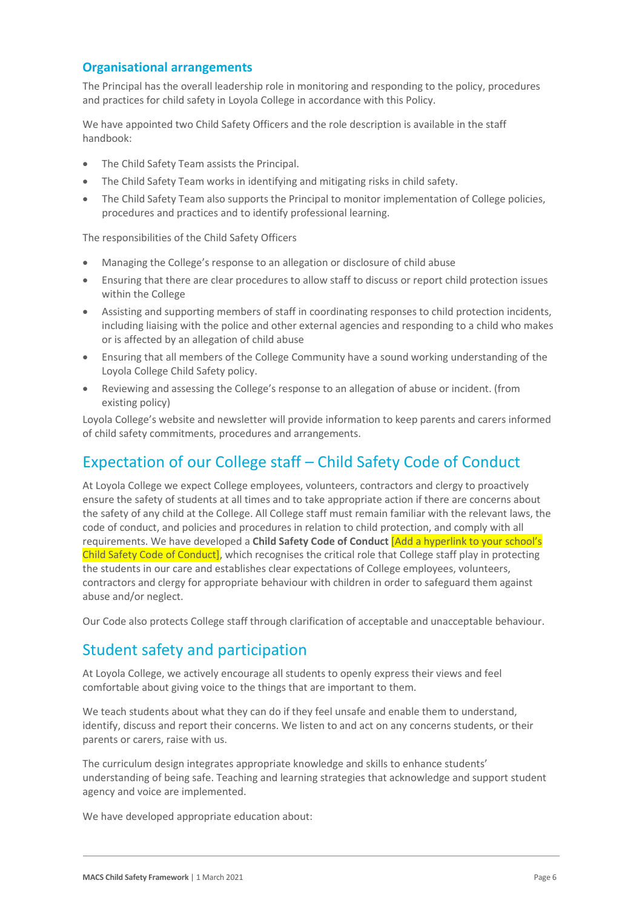### **Organisational arrangements**

The Principal has the overall leadership role in monitoring and responding to the policy, procedures and practices for child safety in Loyola College in accordance with this Policy.

We have appointed two Child Safety Officers and the role description is available in the staff handbook:

- The Child Safety Team assists the Principal.
- The Child Safety Team works in identifying and mitigating risks in child safety.
- The Child Safety Team also supports the Principal to monitor implementation of College policies, procedures and practices and to identify professional learning.

The responsibilities of the Child Safety Officers

- Managing the College's response to an allegation or disclosure of child abuse
- Ensuring that there are clear procedures to allow staff to discuss or report child protection issues within the College
- Assisting and supporting members of staff in coordinating responses to child protection incidents, including liaising with the police and other external agencies and responding to a child who makes or is affected by an allegation of child abuse
- Ensuring that all members of the College Community have a sound working understanding of the Loyola College Child Safety policy.
- Reviewing and assessing the College's response to an allegation of abuse or incident. (from existing policy)

Loyola College's website and newsletter will provide information to keep parents and carers informed of child safety commitments, procedures and arrangements.

# Expectation of our College staff – Child Safety Code of Conduct

At Loyola College we expect College employees, volunteers, contractors and clergy to proactively ensure the safety of students at all times and to take appropriate action if there are concerns about the safety of any child at the College. All College staff must remain familiar with the relevant laws, the code of conduct, and policies and procedures in relation to child protection, and comply with all requirements. We have developed a **Child Safety Code of Conduct** [Add a hyperlink to your school's Child Safety Code of Conduct], which recognises the critical role that College staff play in protecting the students in our care and establishes clear expectations of College employees, volunteers, contractors and clergy for appropriate behaviour with children in order to safeguard them against abuse and/or neglect.

Our Code also protects College staff through clarification of acceptable and unacceptable behaviour.

### Student safety and participation

At Loyola College, we actively encourage all students to openly express their views and feel comfortable about giving voice to the things that are important to them.

We teach students about what they can do if they feel unsafe and enable them to understand, identify, discuss and report their concerns. We listen to and act on any concerns students, or their parents or carers, raise with us.

The curriculum design integrates appropriate knowledge and skills to enhance students' understanding of being safe. Teaching and learning strategies that acknowledge and support student agency and voice are implemented.

We have developed appropriate education about: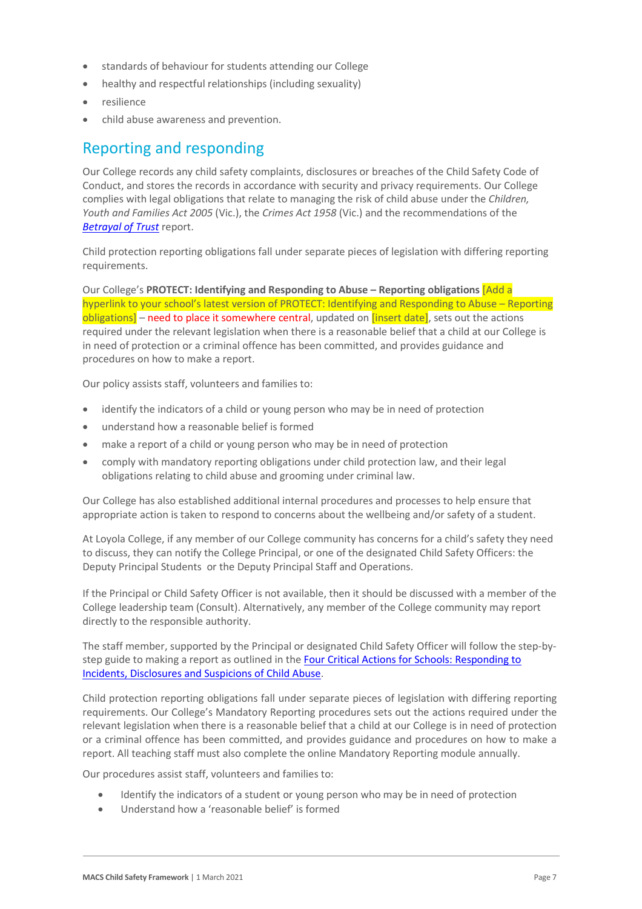- standards of behaviour for students attending our College
- healthy and respectful relationships (including sexuality)
- resilience
- child abuse awareness and prevention.

### Reporting and responding

Our College records any child safety complaints, disclosures or breaches of the Child Safety Code of Conduct, and stores the records in accordance with security and privacy requirements. Our College complies with legal obligations that relate to managing the risk of child abuse under the *Children, Youth and Families Act 2005* (Vic.), the *Crimes Act 1958* (Vic.) and the recommendations of the *[Betrayal of Trust](http://www.parliament.vic.gov.au/fcdc/article/1788)* report.

Child protection reporting obligations fall under separate pieces of legislation with differing reporting requirements.

Our College's **PROTECT: Identifying and Responding to Abuse – Reporting obligations** [Add a hyperlink to your school's latest version of PROTECT: Identifying and Responding to Abuse – Reporting  $objigations]$  – need to place it somewhere central, updated on  $[insert data]$ , sets out the actions required under the relevant legislation when there is a reasonable belief that a child at our College is in need of protection or a criminal offence has been committed, and provides guidance and procedures on how to make a report.

Our policy assists staff, volunteers and families to:

- identify the indicators of a child or young person who may be in need of protection
- understand how a reasonable belief is formed
- make a report of a child or young person who may be in need of protection
- comply with mandatory reporting obligations under child protection law, and their legal obligations relating to child abuse and grooming under criminal law.

Our College has also established additional internal procedures and processes to help ensure that appropriate action is taken to respond to concerns about the wellbeing and/or safety of a student.

At Loyola College, if any member of our College community has concerns for a child's safety they need to discuss, they can notify the College Principal, or one of the designated Child Safety Officers: the Deputy Principal Students or the Deputy Principal Staff and Operations.

If the Principal or Child Safety Officer is not available, then it should be discussed with a member of the College leadership team (Consult). Alternatively, any member of the College community may report directly to the responsible authority.

The staff member, supported by the Principal or designated Child Safety Officer will follow the step-bystep guide to making a report as outlined in th[e Four Critical Actions for Schools: Responding to](https://www.education.vic.gov.au/Documents/about/programs/health/protect/FourCriticalActions_ChildAbuse.pdf)  [Incidents, Disclosures and Suspicions of Child Abuse.](https://www.education.vic.gov.au/Documents/about/programs/health/protect/FourCriticalActions_ChildAbuse.pdf)

Child protection reporting obligations fall under separate pieces of legislation with differing reporting requirements. Our College's Mandatory Reporting procedures sets out the actions required under the relevant legislation when there is a reasonable belief that a child at our College is in need of protection or a criminal offence has been committed, and provides guidance and procedures on how to make a report. All teaching staff must also complete the online Mandatory Reporting module annually.

Our procedures assist staff, volunteers and families to:

- Identify the indicators of a student or young person who may be in need of protection
- Understand how a 'reasonable belief' is formed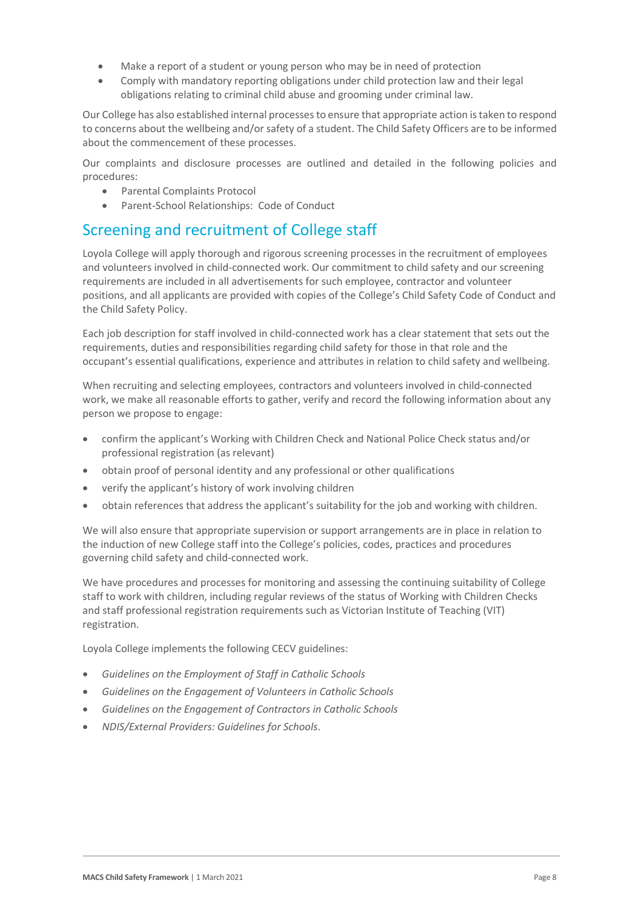- Make a report of a student or young person who may be in need of protection
- Comply with mandatory reporting obligations under child protection law and their legal obligations relating to criminal child abuse and grooming under criminal law.

Our College has also established internal processes to ensure that appropriate action is taken to respond to concerns about the wellbeing and/or safety of a student. The Child Safety Officers are to be informed about the commencement of these processes.

Our complaints and disclosure processes are outlined and detailed in the following policies and procedures:

- Parental Complaints Protocol
- Parent-School Relationships: Code of Conduct

### Screening and recruitment of College staff

Loyola College will apply thorough and rigorous screening processes in the recruitment of employees and volunteers involved in child-connected work. Our commitment to child safety and our screening requirements are included in all advertisements for such employee, contractor and volunteer positions, and all applicants are provided with copies of the College's Child Safety Code of Conduct and the Child Safety Policy.

Each job description for staff involved in child-connected work has a clear statement that sets out the requirements, duties and responsibilities regarding child safety for those in that role and the occupant's essential qualifications, experience and attributes in relation to child safety and wellbeing.

When recruiting and selecting employees, contractors and volunteers involved in child-connected work, we make all reasonable efforts to gather, verify and record the following information about any person we propose to engage:

- confirm the applicant's Working with Children Check and National Police Check status and/or professional registration (as relevant)
- obtain proof of personal identity and any professional or other qualifications
- verify the applicant's history of work involving children
- obtain references that address the applicant's suitability for the job and working with children.

We will also ensure that appropriate supervision or support arrangements are in place in relation to the induction of new College staff into the College's policies, codes, practices and procedures governing child safety and child-connected work.

We have procedures and processes for monitoring and assessing the continuing suitability of College staff to work with children, including regular reviews of the status of Working with Children Checks and staff professional registration requirements such as Victorian Institute of Teaching (VIT) registration.

Loyola College implements the following CECV guidelines:

- *Guidelines on the Employment of Staff in Catholic Schools*
- *Guidelines on the Engagement of Volunteers in Catholic Schools*
- *Guidelines on the Engagement of Contractors in Catholic Schools*
- *NDIS/External Providers: Guidelines for Schools*.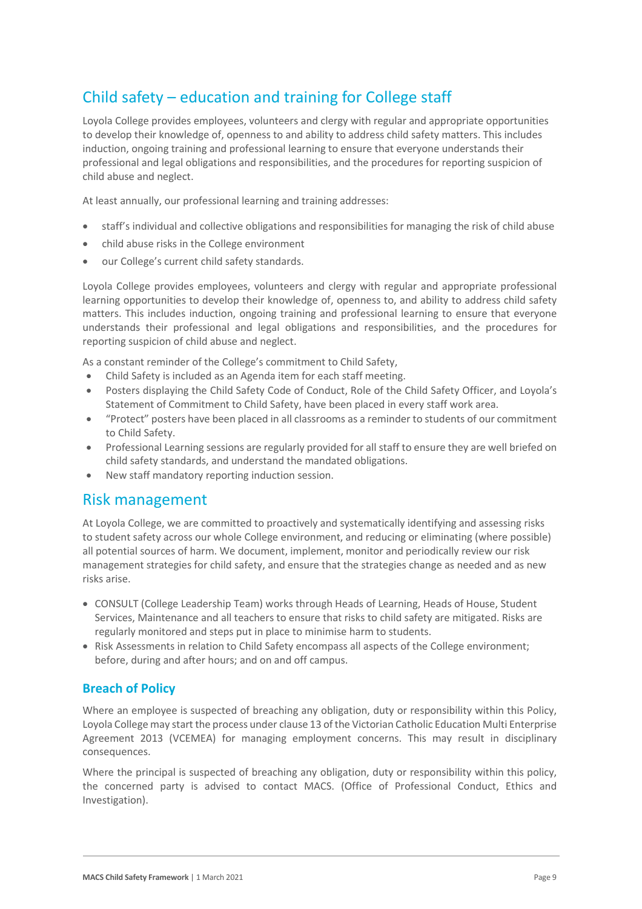# Child safety – education and training for College staff

Loyola College provides employees, volunteers and clergy with regular and appropriate opportunities to develop their knowledge of, openness to and ability to address child safety matters. This includes induction, ongoing training and professional learning to ensure that everyone understands their professional and legal obligations and responsibilities, and the procedures for reporting suspicion of child abuse and neglect.

At least annually, our professional learning and training addresses:

- staff's individual and collective obligations and responsibilities for managing the risk of child abuse
- child abuse risks in the College environment
- our College's current child safety standards.

Loyola College provides employees, volunteers and clergy with regular and appropriate professional learning opportunities to develop their knowledge of, openness to, and ability to address child safety matters. This includes induction, ongoing training and professional learning to ensure that everyone understands their professional and legal obligations and responsibilities, and the procedures for reporting suspicion of child abuse and neglect.

As a constant reminder of the College's commitment to Child Safety,

- Child Safety is included as an Agenda item for each staff meeting.
- Posters displaying the Child Safety Code of Conduct, Role of the Child Safety Officer, and Loyola's Statement of Commitment to Child Safety, have been placed in every staff work area.
- "Protect" posters have been placed in all classrooms as a reminder to students of our commitment to Child Safety.
- Professional Learning sessions are regularly provided for all staff to ensure they are well briefed on child safety standards, and understand the mandated obligations.
- New staff mandatory reporting induction session.

### Risk management

At Loyola College, we are committed to proactively and systematically identifying and assessing risks to student safety across our whole College environment, and reducing or eliminating (where possible) all potential sources of harm. We document, implement, monitor and periodically review our risk management strategies for child safety, and ensure that the strategies change as needed and as new risks arise.

- CONSULT (College Leadership Team) works through Heads of Learning, Heads of House, Student Services, Maintenance and all teachers to ensure that risks to child safety are mitigated. Risks are regularly monitored and steps put in place to minimise harm to students.
- Risk Assessments in relation to Child Safety encompass all aspects of the College environment; before, during and after hours; and on and off campus.

#### **Breach of Policy**

Where an employee is suspected of breaching any obligation, duty or responsibility within this Policy, Loyola College may start the process under clause 13 of the Victorian Catholic Education Multi Enterprise Agreement 2013 (VCEMEA) for managing employment concerns. This may result in disciplinary consequences.

Where the principal is suspected of breaching any obligation, duty or responsibility within this policy, the concerned party is advised to contact MACS. (Office of Professional Conduct, Ethics and Investigation).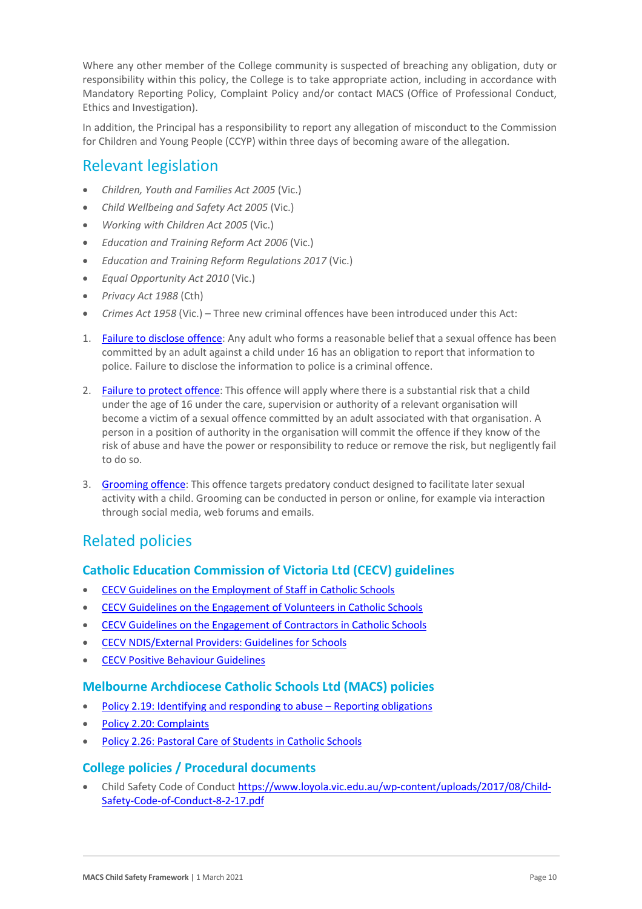Where any other member of the College community is suspected of breaching any obligation, duty or responsibility within this policy, the College is to take appropriate action, including in accordance with Mandatory Reporting Policy, Complaint Policy and/or contact MACS (Office of Professional Conduct, Ethics and Investigation).

In addition, the Principal has a responsibility to report any allegation of misconduct to the Commission for Children and Young People (CCYP) within three days of becoming aware of the allegation.

### Relevant legislation

- *Children, Youth and Families Act 2005* (Vic.)
- *Child Wellbeing and Safety Act 2005* (Vic.)
- *Working with Children Act 2005* (Vic.)
- *Education and Training Reform Act 2006* (Vic.)
- *Education and Training Reform Regulations 2017* (Vic.)
- *Equal Opportunity Act 2010* (Vic.)
- *Privacy Act 1988* (Cth)
- *Crimes Act 1958* (Vic.) Three new criminal offences have been introduced under this Act:
- 1. [Failure to disclose offence:](https://www.justice.vic.gov.au/safer-communities/protecting-children-and-families/failure-to-disclose-offence#%3A%7E%3Atext%3DIn%202014%2C%20the%20law%20in%20Victoria%20was%20changed%2Coffended%20against%20a%20child%20under%2016%20in%20Victoria) Any adult who forms a reasonable belief that a sexual offence has been committed by an adult against a child under 16 has an obligation to report that information to police. Failure to disclose the information to police is a criminal offence.
- 2. [Failure to protect offence:](https://www.justice.vic.gov.au/safer-communities/protecting-children-and-families/failure-to-protect-a-new-criminal-offence-to#%3A%7E%3Atext%3DFailure%20to%20protect%3A%20a%20new%20criminal%20offence%20to%2Cfrom%20sexual%20abuse%20and%20exposure%20to%20sexual%20offenders) This offence will apply where there is a substantial risk that a child under the age of 16 under the care, supervision or authority of a relevant organisation will become a victim of a sexual offence committed by an adult associated with that organisation. A person in a position of authority in the organisation will commit the offence if they know of the risk of abuse and have the power or responsibility to reduce or remove the risk, but negligently fail to do so.
- 3. [Grooming offence:](https://www.justice.vic.gov.au/safer-communities/protecting-children-and-families/grooming-offence) This offence targets predatory conduct designed to facilitate later sexual activity with a child. Grooming can be conducted in person or online, for example via interaction through social media, web forums and emails.

# Related policies

### **Catholic Education Commission of Victoria Ltd (CECV) guidelines**

- [CECV Guidelines on the Employment of Staff in Catholic Schools](https://www.cecv.catholic.edu.au/getmedia/0393d7fb-2fb9-4e48-a05e-56b703dd62eb/Employment-Guidelines.aspx)
- [CECV Guidelines on the Engagement of Volunteers in Catholic Schools](https://www.cecv.catholic.edu.au/Media-Files/IR/Policies-Guidelines/Volunteers/Guidelines-on-the-Engagement-of-Volunteers.aspx)
- [CECV Guidelines on the Engagement of Contractors in Catholic Schools](https://www.cecv.catholic.edu.au/Media-Files/IR/Policies-Guidelines/Staff,-Contractors,-Volunteers/Contractor-Guidelines.aspx)
- [CECV NDIS/External Providers: Guidelines for Schools](https://www.cecv.catholic.edu.au/getmedia/cec12bdf-5e03-4d3a-ac47-504fe084f415/NDIS-External-Providers-Guidelines.aspx?ext=.pdf)
- [CECV Positive Behaviour Guidelines](https://www.cecv.catholic.edu.au/getmedia/bc1d235d-9a98-4bb4-b3ac-84b50fa7c639/CECV-Positive-Behaviour-Guidelines_FINAL2.aspx?ext=.pdf)

#### **Melbourne Archdiocese Catholic Schools Ltd (MACS) policies**

- [Policy 2.19: Identifying and responding to abuse –](https://www.cem.edu.au/About-Us/Policies/Child-Protection-Reporting-Obligations.aspx) Reporting obligations
- [Policy 2.20: Complaints](https://www.macs.vic.edu.au/About-Us/Policies/Complaints.aspx)
- [Policy 2.26: Pastoral Care of Students in Catholic Schools](https://www.macs.vic.edu.au/About-Us/Policies/Pastoral-Care-of-Students.aspx)

#### **College policies / Procedural documents**

• Child Safety Code of Conduc[t https://www.loyola.vic.edu.au/wp-content/uploads/2017/08/Child-](https://www.loyola.vic.edu.au/wp-content/uploads/2017/08/Child-Safety-Code-of-Conduct-8-2-17.pdf)[Safety-Code-of-Conduct-8-2-17.pdf](https://www.loyola.vic.edu.au/wp-content/uploads/2017/08/Child-Safety-Code-of-Conduct-8-2-17.pdf)